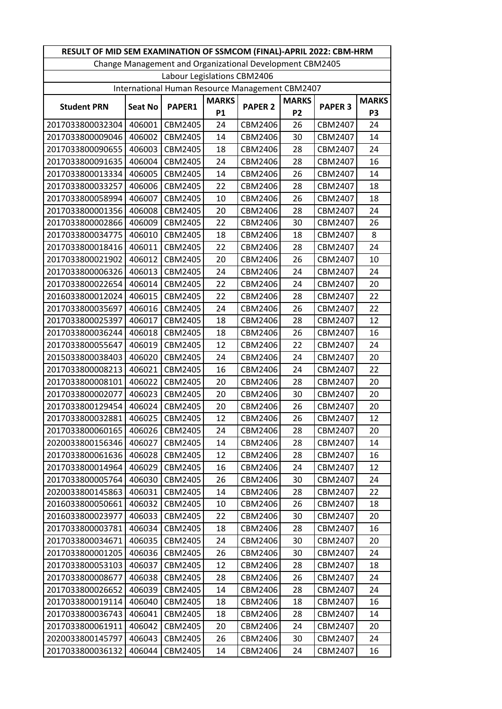|                                                 | RESULT OF MID SEM EXAMINATION OF SSMCOM (FINAL)-APRIL 2022: CBM-HRM |                             |              |                                                          |                |                |                |  |
|-------------------------------------------------|---------------------------------------------------------------------|-----------------------------|--------------|----------------------------------------------------------|----------------|----------------|----------------|--|
|                                                 |                                                                     |                             |              | Change Management and Organizational Development CBM2405 |                |                |                |  |
|                                                 |                                                                     | Labour Legislations CBM2406 |              |                                                          |                |                |                |  |
| International Human Resource Management CBM2407 |                                                                     |                             |              |                                                          |                |                |                |  |
| <b>Student PRN</b>                              | <b>Seat No</b>                                                      | PAPER1                      | <b>MARKS</b> | <b>PAPER 2</b>                                           |                | <b>PAPER 3</b> | <b>MARKS</b>   |  |
|                                                 |                                                                     |                             | <b>P1</b>    |                                                          | P <sub>2</sub> |                | P <sub>3</sub> |  |
| 2017033800032304                                | 406001                                                              | CBM2405                     | 24           | CBM2406                                                  | 26             | CBM2407        | 24             |  |
| 2017033800009046                                | 406002                                                              | CBM2405                     | 14           | CBM2406                                                  | 30             | CBM2407        | 14             |  |
| 2017033800090655                                | 406003                                                              | CBM2405                     | 18           | CBM2406                                                  | 28             | CBM2407        | 24             |  |
| 2017033800091635                                | 406004                                                              | CBM2405                     | 24           | CBM2406                                                  | 28             | CBM2407        | 16             |  |
| 2017033800013334                                | 406005                                                              | CBM2405                     | 14           | CBM2406                                                  | 26             | CBM2407        | 14             |  |
| 2017033800033257                                | 406006                                                              | CBM2405                     | 22           | CBM2406                                                  | 28             | CBM2407        | 18             |  |
| 2017033800058994                                | 406007                                                              | CBM2405                     | 10           | CBM2406                                                  | 26             | CBM2407        | 18             |  |
| 2017033800001356                                | 406008                                                              | CBM2405                     | 20           | CBM2406                                                  | 28             | CBM2407        | 24             |  |
| 2017033800002866                                | 406009                                                              | CBM2405                     | 22           | CBM2406                                                  | 30             | CBM2407        | 26             |  |
| 2017033800034775                                | 406010                                                              | CBM2405                     | 18           | CBM2406                                                  | 18             | CBM2407        | 8              |  |
| 2017033800018416                                | 406011                                                              | CBM2405                     | 22           | CBM2406                                                  | 28             | CBM2407        | 24             |  |
| 2017033800021902                                | 406012                                                              | CBM2405                     | 20           | CBM2406                                                  | 26             | CBM2407        | 10             |  |
| 2017033800006326                                | 406013                                                              | CBM2405                     | 24           | CBM2406                                                  | 24             | CBM2407        | 24             |  |
| 2017033800022654                                | 406014                                                              | CBM2405                     | 22           | CBM2406                                                  | 24             | CBM2407        | 20             |  |
| 2016033800012024                                | 406015                                                              | CBM2405                     | 22           | CBM2406                                                  | 28             | CBM2407        | 22             |  |
| 2017033800035697                                | 406016                                                              | CBM2405                     | 24           | CBM2406                                                  | 26             | CBM2407        | 22             |  |
| 2017033800025397                                | 406017                                                              | CBM2405                     | 18           | CBM2406                                                  | 28             | CBM2407        | 12             |  |
| 2017033800036244                                | 406018                                                              | CBM2405                     | 18           | CBM2406                                                  | 26             | CBM2407        | 16             |  |
| 2017033800055647                                | 406019                                                              | CBM2405                     | 12           | CBM2406                                                  | 22             | CBM2407        | 24             |  |
| 2015033800038403                                | 406020                                                              | CBM2405                     | 24           | CBM2406                                                  | 24             | CBM2407        | 20             |  |
| 2017033800008213                                | 406021                                                              | CBM2405                     | 16           | CBM2406                                                  | 24             | CBM2407        | 22             |  |
| 2017033800008101                                | 406022                                                              | CBM2405                     | 20           | CBM2406                                                  | 28             | CBM2407        | 20             |  |
| 2017033800002077                                | 406023                                                              | CBM2405                     | 20           | CBM2406                                                  | 30             | CBM2407        | 20             |  |
| 2017033800129454                                | 406024                                                              | CBM2405                     | 20           | CBM2406                                                  | 26             | CBM2407        | 20             |  |
| 2017033800032881                                | 406025                                                              | CBM2405                     | 12           | CBM2406                                                  | 26             | CBM2407        | 12             |  |
| 2017033800060165                                | 406026                                                              | CBM2405                     | 24           | CBM2406                                                  | 28             | CBM2407        | 20             |  |
| 2020033800156346                                | 406027                                                              | CBM2405                     | 14           | CBM2406                                                  | 28             | CBM2407        | 14             |  |
| 2017033800061636                                | 406028                                                              | CBM2405                     | 12           | CBM2406                                                  | 28             | CBM2407        | 16             |  |
| 2017033800014964                                | 406029                                                              | CBM2405                     | 16           | CBM2406                                                  | 24             | CBM2407        | 12             |  |
| 2017033800005764                                | 406030                                                              | CBM2405                     | 26           | CBM2406                                                  | 30             | CBM2407        | 24             |  |
| 2020033800145863                                | 406031                                                              | CBM2405                     | 14           | CBM2406                                                  | 28             | CBM2407        | 22             |  |
| 2016033800050661                                | 406032                                                              | CBM2405                     | 10           | CBM2406                                                  | 26             | CBM2407        | 18             |  |
| 2016033800023977                                | 406033                                                              | CBM2405                     | 22           | CBM2406                                                  | 30             | CBM2407        | 20             |  |
| 2017033800003781                                | 406034                                                              | CBM2405                     | 18           | CBM2406                                                  | 28             | CBM2407        | 16             |  |
| 2017033800034671                                | 406035                                                              | CBM2405                     | 24           | CBM2406                                                  | 30             | CBM2407        | 20             |  |
| 2017033800001205                                | 406036                                                              | CBM2405                     | 26           | CBM2406                                                  | 30             | CBM2407        | 24             |  |
| 2017033800053103                                | 406037                                                              | CBM2405                     | 12           | CBM2406                                                  | 28             | CBM2407        | 18             |  |
| 2017033800008677                                | 406038                                                              | CBM2405                     | 28           | CBM2406                                                  | 26             | CBM2407        | 24             |  |
| 2017033800026652                                | 406039                                                              | CBM2405                     | 14           | CBM2406                                                  | 28             | CBM2407        | 24             |  |
| 2017033800019114                                | 406040                                                              | CBM2405                     | 18           | CBM2406                                                  | 18             | CBM2407        | 16             |  |
| 2017033800036743                                | 406041                                                              | CBM2405                     | 18           | CBM2406                                                  | 28             | CBM2407        | 14             |  |
| 2017033800061911                                | 406042                                                              | CBM2405                     | 20           | CBM2406                                                  | 24             | CBM2407        | 20             |  |
| 2020033800145797                                | 406043                                                              | CBM2405                     | 26           | CBM2406                                                  | 30             | CBM2407        | 24             |  |
| 2017033800036132                                | 406044                                                              | CBM2405                     | 14           | CBM2406                                                  | 24             | CBM2407        | 16             |  |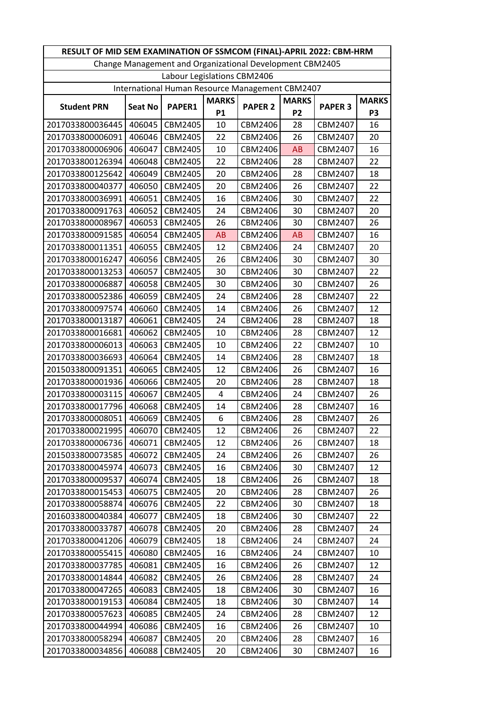| RESULT OF MID SEM EXAMINATION OF SSMCOM (FINAL)-APRIL 2022: CBM-HRM |                |                             |              |                                                          |                |                |                |  |
|---------------------------------------------------------------------|----------------|-----------------------------|--------------|----------------------------------------------------------|----------------|----------------|----------------|--|
|                                                                     |                |                             |              | Change Management and Organizational Development CBM2405 |                |                |                |  |
|                                                                     |                | Labour Legislations CBM2406 |              |                                                          |                |                |                |  |
| International Human Resource Management CBM2407                     |                |                             |              |                                                          |                |                |                |  |
| <b>Student PRN</b>                                                  | <b>Seat No</b> | <b>PAPER1</b>               | <b>MARKS</b> | <b>PAPER 2</b>                                           |                | <b>PAPER 3</b> | <b>MARKS</b>   |  |
|                                                                     |                |                             | <b>P1</b>    |                                                          | P <sub>2</sub> |                | P <sub>3</sub> |  |
| 2017033800036445                                                    | 406045         | CBM2405                     | 10           | CBM2406                                                  | 28             | CBM2407        | 16             |  |
| 2017033800006091                                                    | 406046         | CBM2405                     | 22           | CBM2406                                                  | 26             | CBM2407        | 20             |  |
| 2017033800006906                                                    | 406047         | CBM2405                     | 10           | CBM2406                                                  | AB             | CBM2407        | 16             |  |
| 2017033800126394                                                    | 406048         | CBM2405                     | 22           | CBM2406                                                  | 28             | CBM2407        | 22             |  |
| 2017033800125642                                                    | 406049         | CBM2405                     | 20           | CBM2406                                                  | 28             | CBM2407        | 18             |  |
| 2017033800040377                                                    | 406050         | CBM2405                     | 20           | CBM2406                                                  | 26             | CBM2407        | 22             |  |
| 2017033800036991                                                    | 406051         | CBM2405                     | 16           | CBM2406                                                  | 30             | CBM2407        | 22             |  |
| 2017033800091763                                                    | 406052         | CBM2405                     | 24           | CBM2406                                                  | 30             | CBM2407        | 20             |  |
| 2017033800008967                                                    | 406053         | CBM2405                     | 26           | CBM2406                                                  | 30             | CBM2407        | 26             |  |
| 2017033800091585                                                    | 406054         | CBM2405                     | <b>AB</b>    | CBM2406                                                  | AB             | CBM2407        | 16             |  |
| 2017033800011351                                                    | 406055         | CBM2405                     | 12           | CBM2406                                                  | 24             | CBM2407        | 20             |  |
| 2017033800016247                                                    | 406056         | CBM2405                     | 26           | CBM2406                                                  | 30             | CBM2407        | 30             |  |
| 2017033800013253                                                    | 406057         | CBM2405                     | 30           | CBM2406                                                  | 30             | CBM2407        | 22             |  |
| 2017033800006887                                                    | 406058         | CBM2405                     | 30           | CBM2406                                                  | 30             | CBM2407        | 26             |  |
| 2017033800052386                                                    | 406059         | CBM2405                     | 24           | CBM2406                                                  | 28             | CBM2407        | 22             |  |
| 2017033800097574                                                    | 406060         | CBM2405                     | 14           | CBM2406                                                  | 26             | CBM2407        | 12             |  |
| 2017033800013187                                                    | 406061         | CBM2405                     | 24           | CBM2406                                                  | 28             | CBM2407        | 18             |  |
| 2017033800016681                                                    | 406062         | CBM2405                     | 10           | CBM2406                                                  | 28             | CBM2407        | 12             |  |
| 2017033800006013                                                    | 406063         | CBM2405                     | 10           | CBM2406                                                  | 22             | CBM2407        | 10             |  |
| 2017033800036693                                                    | 406064         | CBM2405                     | 14           | CBM2406                                                  | 28             | CBM2407        | 18             |  |
| 2015033800091351                                                    | 406065         | CBM2405                     | 12           | CBM2406                                                  | 26             | CBM2407        | 16             |  |
| 2017033800001936                                                    | 406066         | CBM2405                     | 20           | CBM2406                                                  | 28             | CBM2407        | 18             |  |
| 2017033800003115                                                    | 406067         | CBM2405                     | 4            | CBM2406                                                  | 24             | CBM2407        | 26             |  |
| 2017033800017796                                                    | 406068         | CBM2405                     | 14           | CBM2406                                                  | 28             | CBM2407        | 16             |  |
| 2017033800008051                                                    | 406069         | CBM2405                     | 6            | CBM2406                                                  | 28             | CBM2407        | 26             |  |
| 2017033800021995                                                    | 406070         | CBM2405                     | 12           | CBM2406                                                  | 26             | CBM2407        | 22             |  |
| 2017033800006736                                                    | 406071         | CBM2405                     | 12           | CBM2406                                                  | 26             | CBM2407        | 18             |  |
| 2015033800073585                                                    | 406072         | CBM2405                     | 24           | CBM2406                                                  | 26             | CBM2407        | 26             |  |
| 2017033800045974                                                    | 406073         | CBM2405                     | 16           | CBM2406                                                  | 30             | CBM2407        | 12             |  |
| 2017033800009537                                                    | 406074         | CBM2405                     | 18           | CBM2406                                                  | 26             | CBM2407        | 18             |  |
| 2017033800015453                                                    | 406075         | CBM2405                     | 20           | CBM2406                                                  | 28             | CBM2407        | 26             |  |
| 2017033800058874                                                    | 406076         | CBM2405                     | 22           | CBM2406                                                  | 30             | CBM2407        | 18             |  |
| 2016033800040384                                                    | 406077         | CBM2405                     | 18           | CBM2406                                                  | 30             | CBM2407        | 22             |  |
| 2017033800033787                                                    | 406078         | CBM2405                     | 20           | CBM2406                                                  | 28             | CBM2407        | 24             |  |
| 2017033800041206                                                    | 406079         | CBM2405                     | 18           | CBM2406                                                  | 24             | CBM2407        | 24             |  |
| 2017033800055415                                                    | 406080         | CBM2405                     | 16           | CBM2406                                                  | 24             | CBM2407        | 10             |  |
| 2017033800037785                                                    | 406081         | CBM2405                     | 16           | CBM2406                                                  | 26             | CBM2407        | 12             |  |
| 2017033800014844                                                    | 406082         | CBM2405                     | 26           | CBM2406                                                  | 28             | CBM2407        | 24             |  |
| 2017033800047265                                                    | 406083         | CBM2405                     | 18           | CBM2406                                                  | 30             | CBM2407        | 16             |  |
| 2017033800019153                                                    | 406084         | CBM2405                     | 18           | CBM2406                                                  | 30             | CBM2407        | 14             |  |
| 2017033800057623                                                    | 406085         | CBM2405                     | 24           | CBM2406                                                  | 28             | CBM2407        | 12             |  |
| 2017033800044994                                                    | 406086         | CBM2405                     | 16           | CBM2406                                                  | 26             | CBM2407        | 10             |  |
| 2017033800058294                                                    | 406087         | CBM2405                     | 20           | CBM2406                                                  | 28             | CBM2407        | 16             |  |
| 2017033800034856                                                    | 406088         | CBM2405                     | 20           | CBM2406                                                  | 30             | CBM2407        | 16             |  |